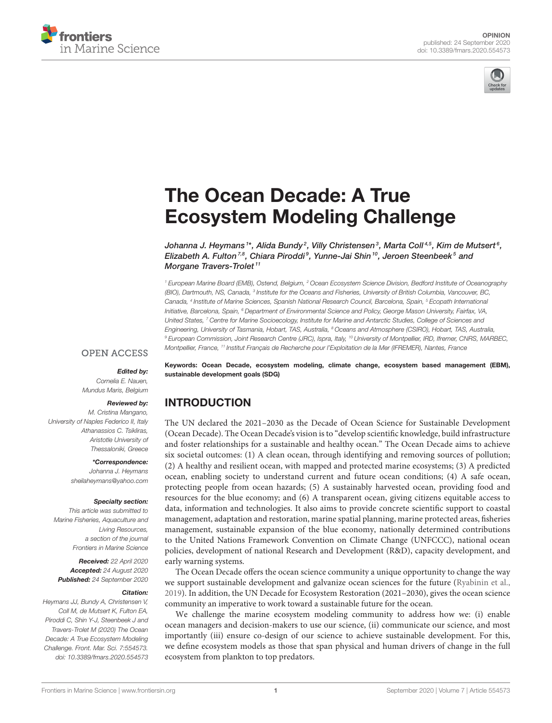



# The Ocean Decade: A True [Ecosystem Modeling Challenge](https://www.frontiersin.org/articles/10.3389/fmars.2020.554573/full)

Johanna J. Heymans  $^{\text{1*}}$ , Alida Bundy  $^2$ , Villy Christensen  $^{\text{s}}$ , Marta Coll  $^{4,5}$ , Kim de Mutsert  $^{\text{6}}$ , Elizabeth A. Fulton<sup>7,8</sup>, Chiara Piroddi<sup>9</sup>, Yunne-Jai Shin<sup>10</sup>, Jeroen Steenbeek<sup>5</sup> and Morgane Travers-Trolet<sup>11</sup>

<sup>1</sup> European Marine Board (EMB), Ostend, Belgium, <sup>2</sup> Ocean Ecosystem Science Division, Bedford Institute of Oceanography (BIO), Dartmouth, NS, Canada, <sup>3</sup> Institute for the Oceans and Fisheries, University of British Columbia, Vancouver, BC, Canada, <sup>4</sup> Institute of Marine Sciences, Spanish National Research Council, Barcelona, Spain, <sup>5</sup> Ecopath Internationa Initiative, Barcelona, Spain, <sup>6</sup> Department of Environmental Science and Policy, George Mason University, Fairfax, VA, United States, <sup>7</sup> Centre for Marine Socioecology, Institute for Marine and Antarctic Studies, College of Sciences and Engineering, University of Tasmania, Hobart, TAS, Australia, <sup>8</sup> Oceans and Atmosphere (CSIRO), Hobart, TAS, Australia, <sup>9</sup> European Commission, Joint Research Centre (JRC), Ispra, Italy, <sup>10</sup> University of Montpellier, IRD, Ifremer, CNRS, MARBEC, Montpellier, France, <sup>11</sup> Institut Français de Recherche pour l'Exploitation de la Mer (IFREMER), Nantes, France

### **OPEN ACCESS**

#### Edited by:

Cornelia E. Nauen, Mundus Maris, Belgium

### Reviewed by:

M. Cristina Mangano, University of Naples Federico II, Italy Athanassios C. Tsikliras, Aristotle University of Thessaloniki, Greece

> \*Correspondence: Johanna J. Heymans [sheilaheymans@yahoo.com](mailto:sheilaheymans@yahoo.com)

#### Specialty section:

This article was submitted to Marine Fisheries, Aquaculture and Living Resources, a section of the journal Frontiers in Marine Science

Received: 22 April 2020 Accepted: 24 August 2020 Published: 24 September 2020

#### Citation:

Heymans JJ, Bundy A, Christensen V, Coll M, de Mutsert K, Fulton EA, Piroddi C, Shin Y-J, Steenbeek J and Travers-Trolet M (2020) The Ocean Decade: A True Ecosystem Modeling Challenge. Front. Mar. Sci. 7:554573. doi: [10.3389/fmars.2020.554573](https://doi.org/10.3389/fmars.2020.554573) Keywords: Ocean Decade, ecosystem modeling, climate change, ecosystem based management (EBM), sustainable development goals (SDG)

# INTRODUCTION

The UN declared the 2021–2030 as the Decade of Ocean Science for Sustainable Development (Ocean Decade). The Ocean Decade's vision is to "develop scientific knowledge, build infrastructure and foster relationships for a sustainable and healthy ocean." The Ocean Decade aims to achieve six societal outcomes: (1) A clean ocean, through identifying and removing sources of pollution; (2) A healthy and resilient ocean, with mapped and protected marine ecosystems; (3) A predicted ocean, enabling society to understand current and future ocean conditions; (4) A safe ocean, protecting people from ocean hazards; (5) A sustainably harvested ocean, providing food and resources for the blue economy; and (6) A transparent ocean, giving citizens equitable access to data, information and technologies. It also aims to provide concrete scientific support to coastal management, adaptation and restoration, marine spatial planning, marine protected areas, fisheries management, sustainable expansion of the blue economy, nationally determined contributions to the United Nations Framework Convention on Climate Change (UNFCCC), national ocean policies, development of national Research and Development (R&D), capacity development, and early warning systems.

The Ocean Decade offers the ocean science community a unique opportunity to change the way we support sustainable development and galvanize ocean sciences for the future [\(Ryabinin et al.,](#page-4-0) [2019\)](#page-4-0). In addition, the UN Decade for Ecosystem Restoration (2021–2030), gives the ocean science community an imperative to work toward a sustainable future for the ocean.

We challenge the marine ecosystem modeling community to address how we: (i) enable ocean managers and decision-makers to use our science, (ii) communicate our science, and most importantly (iii) ensure co-design of our science to achieve sustainable development. For this, we define ecosystem models as those that span physical and human drivers of change in the full ecosystem from plankton to top predators.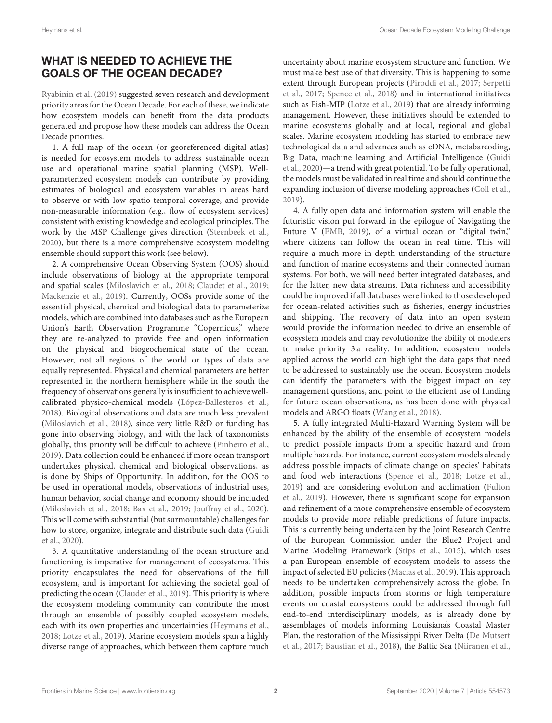# WHAT IS NEEDED TO ACHIEVE THE GOALS OF THE OCEAN DECADE?

[Ryabinin et al. \(2019\)](#page-4-0) suggested seven research and development priority areas for the Ocean Decade. For each of these, we indicate how ecosystem models can benefit from the data products generated and propose how these models can address the Ocean Decade priorities.

1. A full map of the ocean (or georeferenced digital atlas) is needed for ecosystem models to address sustainable ocean use and operational marine spatial planning (MSP). Wellparameterized ecosystem models can contribute by providing estimates of biological and ecosystem variables in areas hard to observe or with low spatio-temporal coverage, and provide non-measurable information (e.g., flow of ecosystem services) consistent with existing knowledge and ecological principles. The work by the MSP Challenge gives direction [\(Steenbeek et al.,](#page-4-1) [2020\)](#page-4-1), but there is a more comprehensive ecosystem modeling ensemble should support this work (see below).

2. A comprehensive Ocean Observing System (OOS) should include observations of biology at the appropriate temporal and spatial scales [\(Miloslavich et al., 2018;](#page-4-2) [Claudet et al., 2019;](#page-4-3) [Mackenzie et al., 2019\)](#page-4-4). Currently, OOSs provide some of the essential physical, chemical and biological data to parameterize models, which are combined into databases such as the European Union's Earth Observation Programme "Copernicus," where they are re-analyzed to provide free and open information on the physical and biogeochemical state of the ocean. However, not all regions of the world or types of data are equally represented. Physical and chemical parameters are better represented in the northern hemisphere while in the south the frequency of observations generally is insufficient to achieve wellcalibrated physico-chemical models [\(López-Ballesteros et al.,](#page-4-5) [2018\)](#page-4-5). Biological observations and data are much less prevalent [\(Miloslavich et al., 2018\)](#page-4-2), since very little R&D or funding has gone into observing biology, and with the lack of taxonomists globally, this priority will be difficult to achieve [\(Pinheiro et al.,](#page-4-6) [2019\)](#page-4-6). Data collection could be enhanced if more ocean transport undertakes physical, chemical and biological observations, as is done by Ships of Opportunity. In addition, for the OOS to be used in operational models, observations of industrial uses, human behavior, social change and economy should be included [\(Miloslavich et al., 2018;](#page-4-2) [Bax et al., 2019;](#page-3-0) [Jouffray et al., 2020\)](#page-4-7). This will come with substantial (but surmountable) challenges for how to store, organize, integrate and distribute such data (Guidi et al., [2020\)](#page-4-8).

3. A quantitative understanding of the ocean structure and functioning is imperative for management of ecosystems. This priority encapsulates the need for observations of the full ecosystem, and is important for achieving the societal goal of predicting the ocean [\(Claudet et al., 2019\)](#page-4-3). This priority is where the ecosystem modeling community can contribute the most through an ensemble of possibly coupled ecosystem models, each with its own properties and uncertainties [\(Heymans et al.,](#page-4-9) [2018;](#page-4-9) [Lotze et al., 2019\)](#page-4-10). Marine ecosystem models span a highly diverse range of approaches, which between them capture much uncertainty about marine ecosystem structure and function. We must make best use of that diversity. This is happening to some extent through European projects [\(Piroddi et al., 2017;](#page-4-11) Serpetti et al., [2017;](#page-4-12) [Spence et al., 2018\)](#page-4-13) and in international initiatives such as Fish-MIP [\(Lotze et al., 2019\)](#page-4-10) that are already informing management. However, these initiatives should be extended to marine ecosystems globally and at local, regional and global scales. Marine ecosystem modeling has started to embrace new technological data and advances such as eDNA, metabarcoding, Big Data, machine learning and Artificial Intelligence (Guidi et al., [2020\)](#page-4-8)—a trend with great potential. To be fully operational, the models must be validated in real time and should continue the expanding inclusion of diverse modeling approaches [\(Coll et al.,](#page-4-14) [2019\)](#page-4-14).

4. A fully open data and information system will enable the futuristic vision put forward in the epilogue of Navigating the Future V [\(EMB, 2019\)](#page-4-15), of a virtual ocean or "digital twin," where citizens can follow the ocean in real time. This will require a much more in-depth understanding of the structure and function of marine ecosystems and their connected human systems. For both, we will need better integrated databases, and for the latter, new data streams. Data richness and accessibility could be improved if all databases were linked to those developed for ocean-related activities such as fisheries, energy industries and shipping. The recovery of data into an open system would provide the information needed to drive an ensemble of ecosystem models and may revolutionize the ability of modelers to make priority 3 a reality. In addition, ecosystem models applied across the world can highlight the data gaps that need to be addressed to sustainably use the ocean. Ecosystem models can identify the parameters with the biggest impact on key management questions, and point to the efficient use of funding for future ocean observations, as has been done with physical models and ARGO floats [\(Wang et al., 2018\)](#page-4-16).

5. A fully integrated Multi-Hazard Warning System will be enhanced by the ability of the ensemble of ecosystem models to predict possible impacts from a specific hazard and from multiple hazards. For instance, current ecosystem models already address possible impacts of climate change on species' habitats and food web interactions [\(Spence et al., 2018;](#page-4-13) [Lotze et al.,](#page-4-10) [2019\)](#page-4-10) and are considering evolution and acclimation (Fulton et al., [2019\)](#page-4-17). However, there is significant scope for expansion and refinement of a more comprehensive ensemble of ecosystem models to provide more reliable predictions of future impacts. This is currently being undertaken by the Joint Research Centre of the European Commission under the Blue2 Project and Marine Modeling Framework [\(Stips et al., 2015\)](#page-4-18), which uses a pan-European ensemble of ecosystem models to assess the impact of selected EU policies [\(Macias et al., 2019\)](#page-4-19). This approach needs to be undertaken comprehensively across the globe. In addition, possible impacts from storms or high temperature events on coastal ecosystems could be addressed through full end-to-end interdisciplinary models, as is already done by assemblages of models informing Louisiana's Coastal Master Plan, the restoration of the Mississippi River Delta (De Mutsert et al., [2017;](#page-4-20) [Baustian et al., 2018\)](#page-3-1), the Baltic Sea [\(Niiranen et al.,](#page-4-21)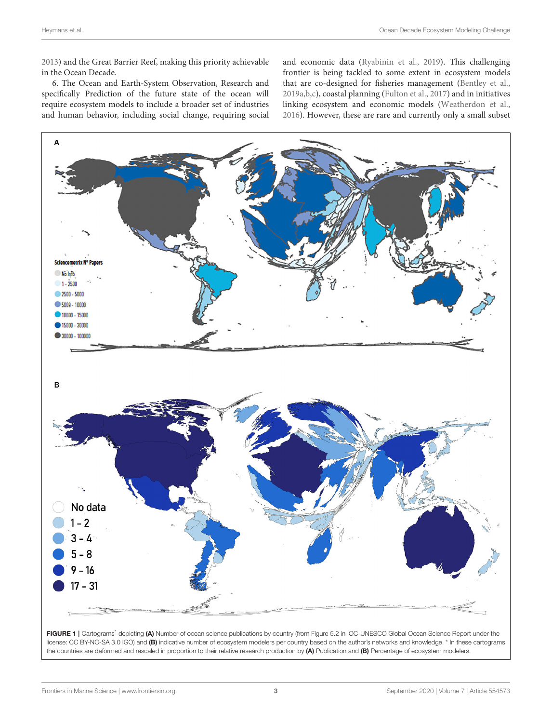[2013\)](#page-4-21) and the Great Barrier Reef, making this priority achievable in the Ocean Decade.

6. The Ocean and Earth-System Observation, Research and specifically Prediction of the future state of the ocean will require ecosystem models to include a broader set of industries and human behavior, including social change, requiring social

and economic data [\(Ryabinin et al., 2019\)](#page-4-0). This challenging frontier is being tackled to some extent in ecosystem models that are co-designed for fisheries management [\(Bentley et al.,](#page-4-22) [2019a](#page-4-22)[,b,](#page-4-23)[c\)](#page-4-24), coastal planning [\(Fulton et al., 2017\)](#page-4-25) and in initiatives linking ecosystem and economic models [\(Weatherdon et al.,](#page-4-26) [2016\)](#page-4-26). However, these are rare and currently only a small subset

<span id="page-2-0"></span>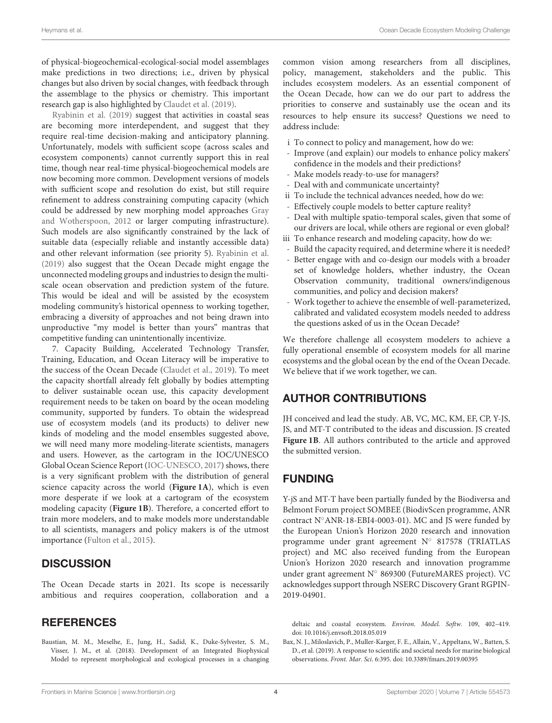of physical-biogeochemical-ecological-social model assemblages make predictions in two directions; i.e., driven by physical changes but also driven by social changes, with feedback through the assemblage to the physics or chemistry. This important research gap is also highlighted by [Claudet et al. \(2019\)](#page-4-3).

[Ryabinin et al. \(2019\)](#page-4-0) suggest that activities in coastal seas are becoming more interdependent, and suggest that they require real-time decision-making and anticipatory planning. Unfortunately, models with sufficient scope (across scales and ecosystem components) cannot currently support this in real time, though near real-time physical-biogeochemical models are now becoming more common. Development versions of models with sufficient scope and resolution do exist, but still require refinement to address constraining computing capacity (which could be addressed by new morphing model approaches Gray and Wotherspoon, [2012](#page-4-27) or larger computing infrastructure). Such models are also significantly constrained by the lack of suitable data (especially reliable and instantly accessible data) and other relevant information (see priority 5). [Ryabinin et al.](#page-4-0) [\(2019\)](#page-4-0) also suggest that the Ocean Decade might engage the unconnected modeling groups and industries to design the multiscale ocean observation and prediction system of the future. This would be ideal and will be assisted by the ecosystem modeling community's historical openness to working together, embracing a diversity of approaches and not being drawn into unproductive "my model is better than yours" mantras that competitive funding can unintentionally incentivize.

7. Capacity Building, Accelerated Technology Transfer, Training, Education, and Ocean Literacy will be imperative to the success of the Ocean Decade [\(Claudet et al., 2019\)](#page-4-3). To meet the capacity shortfall already felt globally by bodies attempting to deliver sustainable ocean use, this capacity development requirement needs to be taken on board by the ocean modeling community, supported by funders. To obtain the widespread use of ecosystem models (and its products) to deliver new kinds of modeling and the model ensembles suggested above, we will need many more modeling-literate scientists, managers and users. However, as the cartogram in the IOC/UNESCO Global Ocean Science Report [\(IOC-UNESCO, 2017\)](#page-4-28) shows, there is a very significant problem with the distribution of general science capacity across the world (**[Figure 1A](#page-2-0)**), which is even more desperate if we look at a cartogram of the ecosystem modeling capacity (**[Figure 1B](#page-2-0)**). Therefore, a concerted effort to train more modelers, and to make models more understandable to all scientists, managers and policy makers is of the utmost importance [\(Fulton et al., 2015\)](#page-4-29).

### **DISCUSSION**

The Ocean Decade starts in 2021. Its scope is necessarily ambitious and requires cooperation, collaboration and a

### **REFERENCES**

<span id="page-3-1"></span>Baustian, M. M., Meselhe, E., Jung, H., Sadid, K., Duke-Sylvester, S. M., Visser, J. M., et al. (2018). Development of an Integrated Biophysical Model to represent morphological and ecological processes in a changing common vision among researchers from all disciplines, policy, management, stakeholders and the public. This includes ecosystem modelers. As an essential component of the Ocean Decade, how can we do our part to address the priorities to conserve and sustainably use the ocean and its resources to help ensure its success? Questions we need to address include:

- i To connect to policy and management, how do we:
- Improve (and explain) our models to enhance policy makers' confidence in the models and their predictions?
- Make models ready-to-use for managers?
- Deal with and communicate uncertainty?
- ii To include the technical advances needed, how do we:
- Effectively couple models to better capture reality?
- Deal with multiple spatio-temporal scales, given that some of our drivers are local, while others are regional or even global?
- iii To enhance research and modeling capacity, how do we:
- Build the capacity required, and determine where it is needed? Better engage with and co-design our models with a broader set of knowledge holders, whether industry, the Ocean Observation community, traditional owners/indigenous communities, and policy and decision makers?
- Work together to achieve the ensemble of well-parameterized, calibrated and validated ecosystem models needed to address the questions asked of us in the Ocean Decade?

We therefore challenge all ecosystem modelers to achieve a fully operational ensemble of ecosystem models for all marine ecosystems and the global ocean by the end of the Ocean Decade. We believe that if we work together, we can.

# AUTHOR CONTRIBUTIONS

JH conceived and lead the study. AB, VC, MC, KM, EF, CP, Y-JS, JS, and MT-T contributed to the ideas and discussion. JS created **[Figure 1B](#page-2-0)**. All authors contributed to the article and approved the submitted version.

# FUNDING

Y-jS and MT-T have been partially funded by the Biodiversa and Belmont Forum project SOMBEE (BiodivScen programme, ANR contract N◦ANR-18-EBI4-0003-01). MC and JS were funded by the European Union's Horizon 2020 research and innovation programme under grant agreement N◦ 817578 (TRIATLAS project) and MC also received funding from the European Union's Horizon 2020 research and innovation programme under grant agreement N◦ 869300 (FutureMARES project). VC acknowledges support through NSERC Discovery Grant RGPIN-2019-04901.

deltaic and coastal ecosystem. Environ. Model. Softw. 109, 402–419. doi: [10.1016/j.envsoft.2018.05.019](https://doi.org/10.1016/j.envsoft.2018.05.019)

<span id="page-3-0"></span>Bax, N. J., Miloslavich, P., Muller-Karger, F. E., Allain, V., Appeltans, W., Batten, S. D., et al. (2019). A response to scientific and societal needs for marine biological observations. Front. Mar. Sci. 6:395. doi: [10.3389/fmars.2019.00395](https://doi.org/10.3389/fmars.2019.00395)